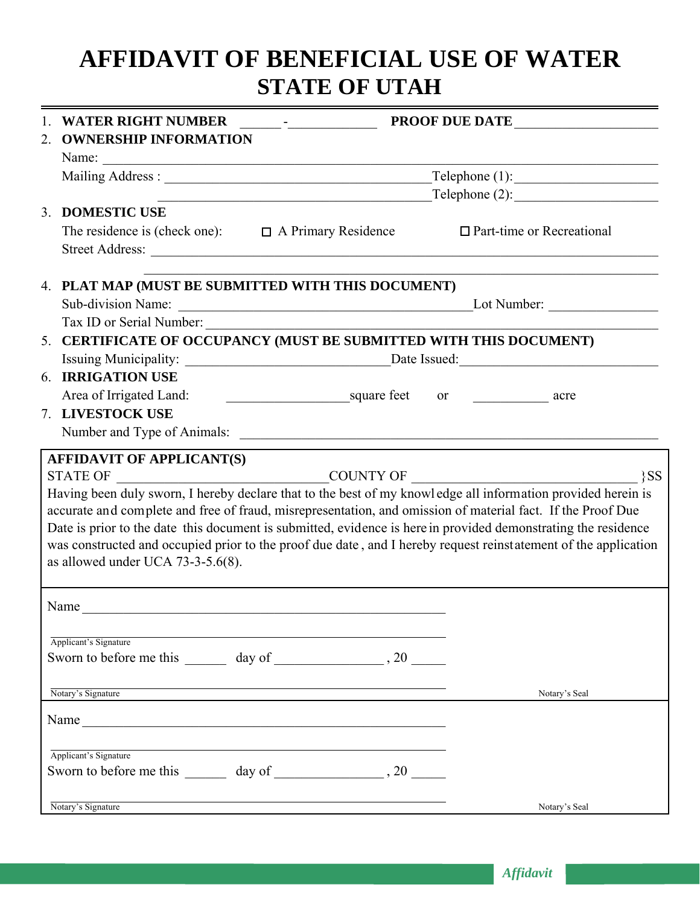# **AFFIDAVIT OF BENEFICIAL USE OF WATER STATE OF UTAH**

| <b>WATER RIGHT NUMBER</b><br>$\frac{1}{2}$ PROOF DUE DATE                                                                                                                                                                      |                                                                    |                                                                                                                                                                                                                                                                                                                                                                                                                                                                               |  |  |
|--------------------------------------------------------------------------------------------------------------------------------------------------------------------------------------------------------------------------------|--------------------------------------------------------------------|-------------------------------------------------------------------------------------------------------------------------------------------------------------------------------------------------------------------------------------------------------------------------------------------------------------------------------------------------------------------------------------------------------------------------------------------------------------------------------|--|--|
| <b>OWNERSHIP INFORMATION</b><br>2.                                                                                                                                                                                             |                                                                    |                                                                                                                                                                                                                                                                                                                                                                                                                                                                               |  |  |
|                                                                                                                                                                                                                                |                                                                    |                                                                                                                                                                                                                                                                                                                                                                                                                                                                               |  |  |
|                                                                                                                                                                                                                                | $\text{Telephone} (1):$                                            |                                                                                                                                                                                                                                                                                                                                                                                                                                                                               |  |  |
|                                                                                                                                                                                                                                |                                                                    | $\text{Telephone} (2):$                                                                                                                                                                                                                                                                                                                                                                                                                                                       |  |  |
| <b>DOMESTIC USE</b><br>3 <sub>1</sub>                                                                                                                                                                                          |                                                                    | $\Box$ Part-time or Recreational                                                                                                                                                                                                                                                                                                                                                                                                                                              |  |  |
|                                                                                                                                                                                                                                | The residence is (check one): $\Box$ A Primary Residence           |                                                                                                                                                                                                                                                                                                                                                                                                                                                                               |  |  |
|                                                                                                                                                                                                                                | 4. PLAT MAP (MUST BE SUBMITTED WITH THIS DOCUMENT)                 |                                                                                                                                                                                                                                                                                                                                                                                                                                                                               |  |  |
| Sub-division Name:                                                                                                                                                                                                             |                                                                    | $\frac{1}{2}$ Lot Number:                                                                                                                                                                                                                                                                                                                                                                                                                                                     |  |  |
|                                                                                                                                                                                                                                |                                                                    |                                                                                                                                                                                                                                                                                                                                                                                                                                                                               |  |  |
|                                                                                                                                                                                                                                | 5. CERTIFICATE OF OCCUPANCY (MUST BE SUBMITTED WITH THIS DOCUMENT) |                                                                                                                                                                                                                                                                                                                                                                                                                                                                               |  |  |
|                                                                                                                                                                                                                                |                                                                    |                                                                                                                                                                                                                                                                                                                                                                                                                                                                               |  |  |
| <b>6. IRRIGATION USE</b>                                                                                                                                                                                                       |                                                                    |                                                                                                                                                                                                                                                                                                                                                                                                                                                                               |  |  |
| Area of Irrigated Land:                                                                                                                                                                                                        | square feet or <u>example</u> acre                                 |                                                                                                                                                                                                                                                                                                                                                                                                                                                                               |  |  |
| 7. LIVESTOCK USE                                                                                                                                                                                                               |                                                                    |                                                                                                                                                                                                                                                                                                                                                                                                                                                                               |  |  |
|                                                                                                                                                                                                                                |                                                                    |                                                                                                                                                                                                                                                                                                                                                                                                                                                                               |  |  |
| <b>STATE OF</b><br>as allowed under UCA 73-3-5.6(8).                                                                                                                                                                           | COUNTY OF                                                          | $\{SS\}$<br>Having been duly sworn, I hereby declare that to the best of my knowl edge all information provided herein is<br>accurate and complete and free of fraud, misrepresentation, and omission of material fact. If the Proof Due<br>Date is prior to the date this document is submitted, evidence is here in provided demonstrating the residence<br>was constructed and occupied prior to the proof due date, and I hereby request reinstatement of the application |  |  |
| Name                                                                                                                                                                                                                           |                                                                    |                                                                                                                                                                                                                                                                                                                                                                                                                                                                               |  |  |
| Applicant's Signature                                                                                                                                                                                                          |                                                                    |                                                                                                                                                                                                                                                                                                                                                                                                                                                                               |  |  |
|                                                                                                                                                                                                                                |                                                                    |                                                                                                                                                                                                                                                                                                                                                                                                                                                                               |  |  |
| Notary's Signature                                                                                                                                                                                                             |                                                                    | Notary's Seal                                                                                                                                                                                                                                                                                                                                                                                                                                                                 |  |  |
| Name and the contract of the contract of the contract of the contract of the contract of the contract of the contract of the contract of the contract of the contract of the contract of the contract of the contract of the c |                                                                    |                                                                                                                                                                                                                                                                                                                                                                                                                                                                               |  |  |
| Applicant's Signature                                                                                                                                                                                                          |                                                                    |                                                                                                                                                                                                                                                                                                                                                                                                                                                                               |  |  |
|                                                                                                                                                                                                                                |                                                                    |                                                                                                                                                                                                                                                                                                                                                                                                                                                                               |  |  |
| Notary's Signature                                                                                                                                                                                                             |                                                                    | Notary's Seal                                                                                                                                                                                                                                                                                                                                                                                                                                                                 |  |  |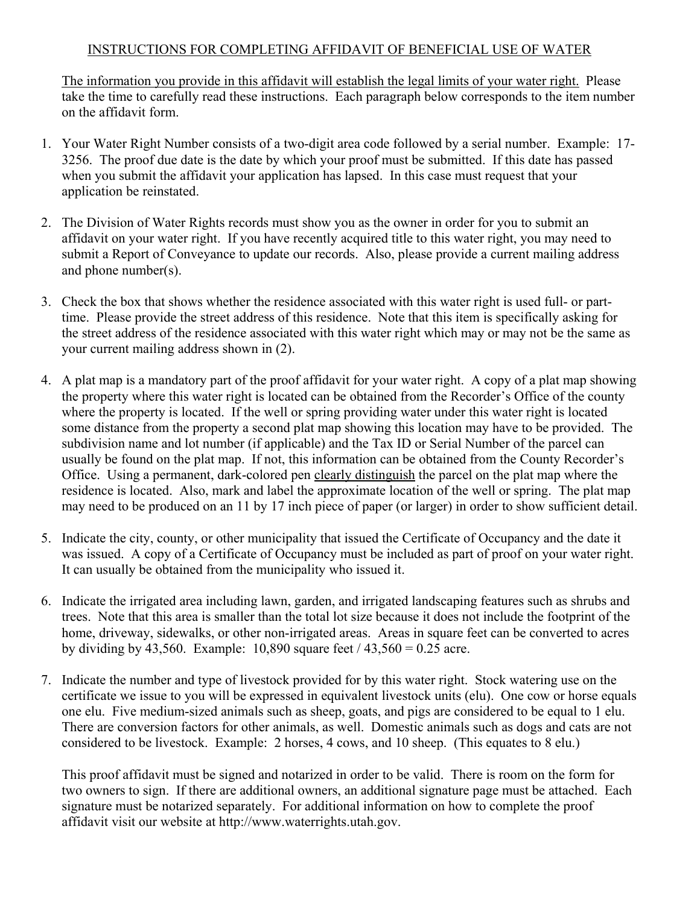#### INSTRUCTIONS FOR COMPLETING AFFIDAVIT OF BENEFICIAL USE OF WATER

The information you provide in this affidavit will establish the legal limits of your water right. Please take the time to carefully read these instructions. Each paragraph below corresponds to the item number on the affidavit form.

- 1. Your Water Right Number consists of a two-digit area code followed by a serial number. Example: 17- 3256. The proof due date is the date by which your proof must be submitted. If this date has passed when you submit the affidavit your application has lapsed. In this case must request that your application be reinstated.
- 2. The Division of Water Rights records must show you as the owner in order for you to submit an affidavit on your water right. If you have recently acquired title to this water right, you may need to submit a Report of Conveyance to update our records. Also, please provide a current mailing address and phone number(s).
- 3. Check the box that shows whether the residence associated with this water right is used full- or parttime. Please provide the street address of this residence. Note that this item is specifically asking for the street address of the residence associated with this water right which may or may not be the same as your current mailing address shown in (2).
- 4. A plat map is a mandatory part of the proof affidavit for your water right. A copy of a plat map showing the property where this water right is located can be obtained from the Recorder's Office of the county where the property is located. If the well or spring providing water under this water right is located some distance from the property a second plat map showing this location may have to be provided. The subdivision name and lot number (if applicable) and the Tax ID or Serial Number of the parcel can usually be found on the plat map. If not, this information can be obtained from the County Recorder's Office. Using a permanent, dark-colored pen clearly distinguish the parcel on the plat map where the residence is located. Also, mark and label the approximate location of the well or spring. The plat map may need to be produced on an 11 by 17 inch piece of paper (or larger) in order to show sufficient detail.
- 5. Indicate the city, county, or other municipality that issued the Certificate of Occupancy and the date it was issued. A copy of a Certificate of Occupancy must be included as part of proof on your water right. It can usually be obtained from the municipality who issued it.
- 6. Indicate the irrigated area including lawn, garden, and irrigated landscaping features such as shrubs and trees. Note that this area is smaller than the total lot size because it does not include the footprint of the home, driveway, sidewalks, or other non-irrigated areas. Areas in square feet can be converted to acres by dividing by 43,560. Example:  $10,890$  square feet  $/ 43,560 = 0.25$  acre.
- 7. Indicate the number and type of livestock provided for by this water right. Stock watering use on the certificate we issue to you will be expressed in equivalent livestock units (elu). One cow or horse equals one elu. Five medium-sized animals such as sheep, goats, and pigs are considered to be equal to 1 elu. There are conversion factors for other animals, as well. Domestic animals such as dogs and cats are not considered to be livestock. Example: 2 horses, 4 cows, and 10 sheep. (This equates to 8 elu.)

This proof affidavit must be signed and notarized in order to be valid. There is room on the form for two owners to sign. If there are additional owners, an additional signature page must be attached. Each signature must be notarized separately. For additional information on how to complete the proof affidavit visit our website at http://www.waterrights.utah.gov.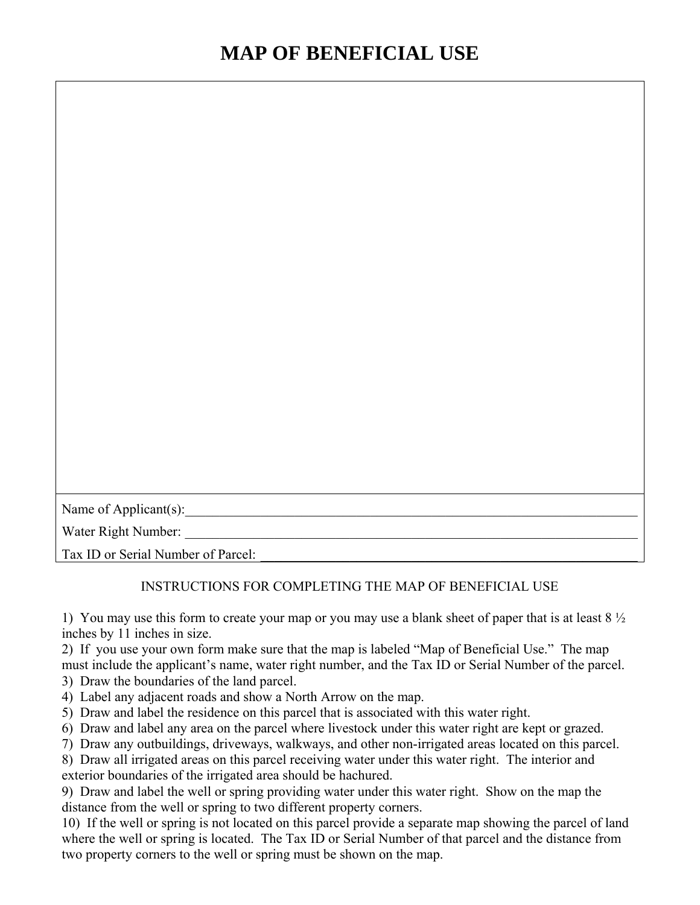| Name of Applicant(s):              |  |
|------------------------------------|--|
| Water Right Number:                |  |
| Tax ID or Serial Number of Parcel: |  |

#### INSTRUCTIONS FOR COMPLETING THE MAP OF BENEFICIAL USE

1) You may use this form to create your map or you may use a blank sheet of paper that is at least  $8\frac{1}{2}$ inches by 11 inches in size.

2) If you use your own form make sure that the map is labeled "Map of Beneficial Use." The map must include the applicant's name, water right number, and the Tax ID or Serial Number of the parcel.

3) Draw the boundaries of the land parcel.

- 4) Label any adjacent roads and show a North Arrow on the map.
- 5) Draw and label the residence on this parcel that is associated with this water right.
- 6) Draw and label any area on the parcel where livestock under this water right are kept or grazed.
- 7) Draw any outbuildings, driveways, walkways, and other non-irrigated areas located on this parcel.

8) Draw all irrigated areas on this parcel receiving water under this water right. The interior and exterior boundaries of the irrigated area should be hachured.

9) Draw and label the well or spring providing water under this water right. Show on the map the distance from the well or spring to two different property corners.

10) If the well or spring is not located on this parcel provide a separate map showing the parcel of land where the well or spring is located. The Tax ID or Serial Number of that parcel and the distance from two property corners to the well or spring must be shown on the map.